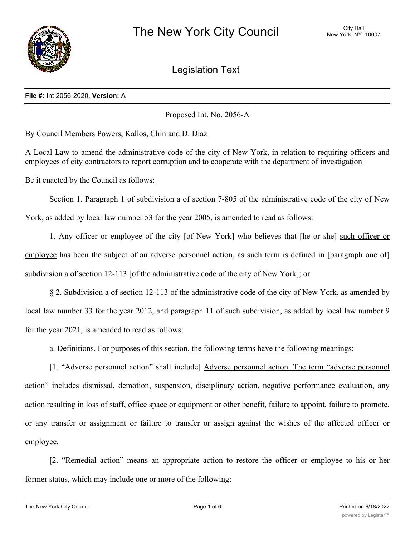

Legislation Text

# **File #:** Int 2056-2020, **Version:** A

Proposed Int. No. 2056-A

By Council Members Powers, Kallos, Chin and D. Diaz

A Local Law to amend the administrative code of the city of New York, in relation to requiring officers and employees of city contractors to report corruption and to cooperate with the department of investigation

Be it enacted by the Council as follows:

Section 1. Paragraph 1 of subdivision a of section 7-805 of the administrative code of the city of New York, as added by local law number 53 for the year 2005, is amended to read as follows:

1. Any officer or employee of the city [of New York] who believes that [he or she] such officer or employee has been the subject of an adverse personnel action, as such term is defined in [paragraph one of] subdivision a of section 12-113 [of the administrative code of the city of New York]; or

§ 2. Subdivision a of section 12-113 of the administrative code of the city of New York, as amended by local law number 33 for the year 2012, and paragraph 11 of such subdivision, as added by local law number 9 for the year 2021, is amended to read as follows:

a. Definitions. For purposes of this section, the following terms have the following meanings:

[1. "Adverse personnel action" shall include] Adverse personnel action. The term "adverse personnel action" includes dismissal, demotion, suspension, disciplinary action, negative performance evaluation, any action resulting in loss of staff, office space or equipment or other benefit, failure to appoint, failure to promote, or any transfer or assignment or failure to transfer or assign against the wishes of the affected officer or employee.

[2. "Remedial action" means an appropriate action to restore the officer or employee to his or her former status, which may include one or more of the following:

(ii) refers to a position to a position the officer or employee to a position the same as or comparable to the position the position the position the position the position the position the position the position the positi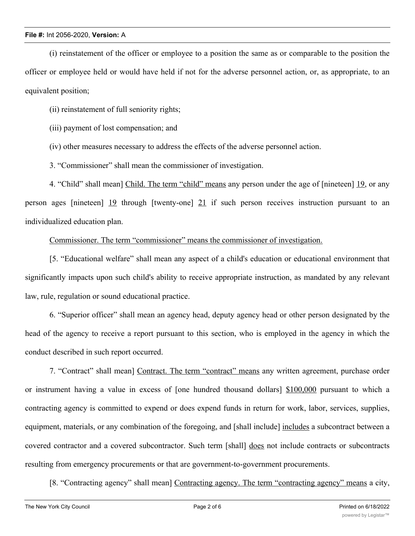(i) reinstatement of the officer or employee to a position the same as or comparable to the position the officer or employee held or would have held if not for the adverse personnel action, or, as appropriate, to an equivalent position;

(ii) reinstatement of full seniority rights;

(iii) payment of lost compensation; and

(iv) other measures necessary to address the effects of the adverse personnel action.

3. "Commissioner" shall mean the commissioner of investigation.

4. "Child" shall mean] Child. The term "child" means any person under the age of [nineteen] 19, or any person ages [nineteen]  $\frac{19}{9}$  through [twenty-one]  $\frac{21}{9}$  if such person receives instruction pursuant to an individualized education plan.

Commissioner. The term "commissioner" means the commissioner of investigation.

[5. "Educational welfare" shall mean any aspect of a child's education or educational environment that significantly impacts upon such child's ability to receive appropriate instruction, as mandated by any relevant law, rule, regulation or sound educational practice.

6. "Superior officer" shall mean an agency head, deputy agency head or other person designated by the head of the agency to receive a report pursuant to this section, who is employed in the agency in which the conduct described in such report occurred.

7. "Contract" shall mean] Contract. The term "contract" means any written agreement, purchase order or instrument having a value in excess of [one hundred thousand dollars] \$100,000 pursuant to which a contracting agency is committed to expend or does expend funds in return for work, labor, services, supplies, equipment, materials, or any combination of the foregoing, and [shall include] includes a subcontract between a covered contractor and a covered subcontractor. Such term [shall] does not include contracts or subcontracts resulting from emergency procurements or that are government-to-government procurements.

[8. "Contracting agency" shall mean] Contracting agency. The term "contracting agency" means a city,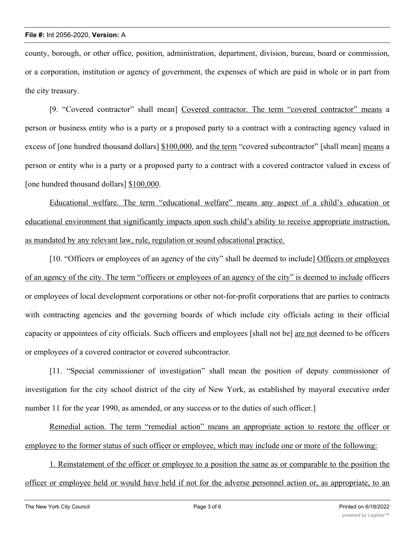county, borough, or other office, position, administration, department, division, bureau, board or commission, or a corporation, institution or agency of government, the expenses of which are paid in whole or in part from the city treasury.

[9. "Covered contractor" shall mean] Covered contractor. The term "covered contractor" means a person or business entity who is a party or a proposed party to a contract with a contracting agency valued in excess of [one hundred thousand dollars] \$100,000, and the term "covered subcontractor" [shall mean] means a person or entity who is a party or a proposed party to a contract with a covered contractor valued in excess of [one hundred thousand dollars] \$100,000.

Educational welfare. The term "educational welfare" means any aspect of a child's education or educational environment that significantly impacts upon such child's ability to receive appropriate instruction, as mandated by any relevant law, rule, regulation or sound educational practice.

[10. "Officers or employees of an agency of the city" shall be deemed to include] Officers or employees of an agency of the city. The term "officers or employees of an agency of the city" is deemed to include officers or employees of local development corporations or other not-for-profit corporations that are parties to contracts with contracting agencies and the governing boards of which include city officials acting in their official capacity or appointees of city officials. Such officers and employees [shall not be] are not deemed to be officers or employees of a covered contractor or covered subcontractor.

[11. "Special commissioner of investigation" shall mean the position of deputy commissioner of investigation for the city school district of the city of New York, as established by mayoral executive order number 11 for the year 1990, as amended, or any success or to the duties of such officer.

Remedial action. The term "remedial action" means an appropriate action to restore the officer or employee to the former status of such officer or employee, which may include one or more of the following:

1. Reinstatement of the officer or employee to a position the same as or comparable to the position the officer or employee held or would have held if not for the adverse personnel action or, as appropriate, to an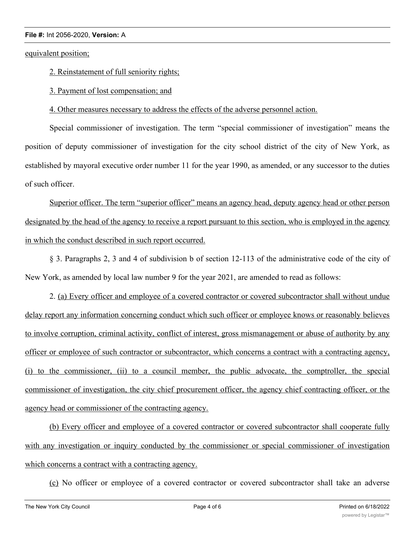equivalent position;

2. Reinstatement of full seniority rights;

3. Payment of lost compensation; and

4. Other measures necessary to address the effects of the adverse personnel action.

Special commissioner of investigation. The term "special commissioner of investigation" means the position of deputy commissioner of investigation for the city school district of the city of New York, as established by mayoral executive order number 11 for the year 1990, as amended, or any successor to the duties of such officer.

Superior officer. The term "superior officer" means an agency head, deputy agency head or other person designated by the head of the agency to receive a report pursuant to this section, who is employed in the agency in which the conduct described in such report occurred.

§ 3. Paragraphs 2, 3 and 4 of subdivision b of section 12-113 of the administrative code of the city of New York, as amended by local law number 9 for the year 2021, are amended to read as follows:

2. (a) Every officer and employee of a covered contractor or covered subcontractor shall without undue delay report any information concerning conduct which such officer or employee knows or reasonably believes to involve corruption, criminal activity, conflict of interest, gross mismanagement or abuse of authority by any officer or employee of such contractor or subcontractor, which concerns a contract with a contracting agency, (i) to the commissioner, (ii) to a council member, the public advocate, the comptroller, the special commissioner of investigation, the city chief procurement officer, the agency chief contracting officer, or the agency head or commissioner of the contracting agency.

(b) Every officer and employee of a covered contractor or covered subcontractor shall cooperate fully with any investigation or inquiry conducted by the commissioner or special commissioner of investigation which concerns a contract with a contracting agency.

(c) No officer or employee of a covered contractor or covered subcontractor shall take an adverse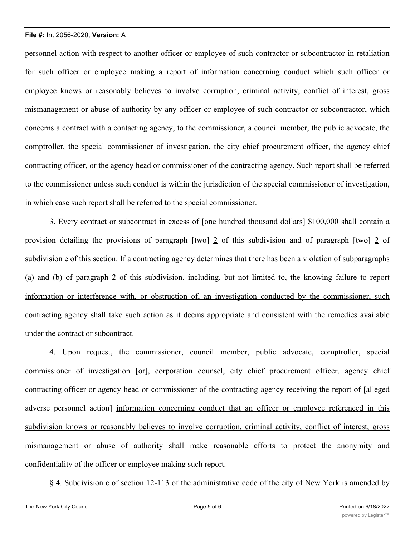personnel action with respect to another officer or employee of such contractor or subcontractor in retaliation for such officer or employee making a report of information concerning conduct which such officer or employee knows or reasonably believes to involve corruption, criminal activity, conflict of interest, gross mismanagement or abuse of authority by any officer or employee of such contractor or subcontractor, which concerns a contract with a contacting agency, to the commissioner, a council member, the public advocate, the comptroller, the special commissioner of investigation, the city chief procurement officer, the agency chief contracting officer, or the agency head or commissioner of the contracting agency. Such report shall be referred to the commissioner unless such conduct is within the jurisdiction of the special commissioner of investigation, in which case such report shall be referred to the special commissioner.

3. Every contract or subcontract in excess of [one hundred thousand dollars] \$100,000 shall contain a provision detailing the provisions of paragraph [two] 2 of this subdivision and of paragraph [two] 2 of subdivision e of this section. If a contracting agency determines that there has been a violation of subparagraphs (a) and (b) of paragraph 2 of this subdivision, including, but not limited to, the knowing failure to report information or interference with, or obstruction of, an investigation conducted by the commissioner, such contracting agency shall take such action as it deems appropriate and consistent with the remedies available under the contract or subcontract.

4. Upon request, the commissioner, council member, public advocate, comptroller, special commissioner of investigation [or], corporation counsel, city chief procurement officer, agency chief contracting officer or agency head or commissioner of the contracting agency receiving the report of [alleged adverse personnel action] information concerning conduct that an officer or employee referenced in this subdivision knows or reasonably believes to involve corruption, criminal activity, conflict of interest, gross mismanagement or abuse of authority shall make reasonable efforts to protect the anonymity and confidentiality of the officer or employee making such report.

§ 4. Subdivision c of section 12-113 of the administrative code of the city of New York is amended by